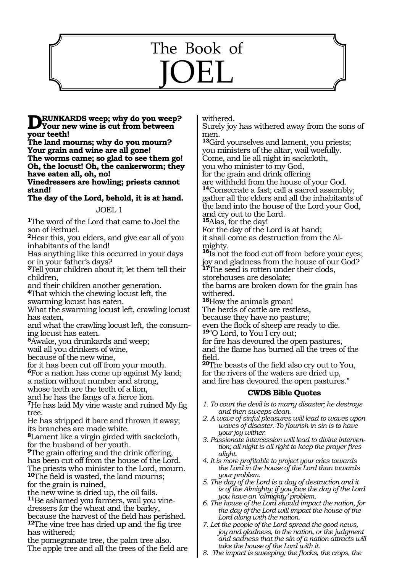# 1123 The Book of JOEL

**RUNKARDS** weep; why do you weep? **Your new wine is cut from between your teeth!**

**The land mourns; why do you mourn? Your grain and wine are all gone! The worms came; so glad to see them go! Oh, the locust! Oh, the cankerworm; they have eaten all, oh, no!**

**Vinedressers are howling; priests cannot stand!**

**The day of the Lord, behold, it is at hand.**

#### JOEL 1

**<sup>1</sup>**The word of the Lord that came to Joel the son of Pethuel.

**<sup>2</sup>**Hear this, you elders, and give ear all of you inhabitants of the land!

Has anything like this occurred in your days or in your father's days?

**<sup>3</sup>**Tell your children about it; let them tell their children,

and their children another generation. **<sup>4</sup>**That which the chewing locust left, the

swarming locust has eaten.

What the swarming locust left, crawling locust has eaten,

and what the crawling locust left, the consum- ing locust has eaten.

**<sup>5</sup>**Awake, you drunkards and weep;

wail all you drinkers of wine,

because of the new wine,

for it has been cut off from your mouth.

**<sup>6</sup>**For a nation has come up against My land;

a nation without number and strong,

whose teeth are the teeth of a lion, and he has the fangs of a fierce lion.

**<sup>7</sup>**He has laid My vine waste and ruined My fig tree.

He has stripped it bare and thrown it away; its branches are made white.

**<sup>8</sup>**Lament like a virgin girded with sackcloth, for the husband of her youth.

**<sup>9</sup>**The grain offering and the drink offering, has been cut off from the house of the Lord. The priests who minister to the Lord, mourn. **<sup>10</sup>**The field is wasted, the land mourns; for the grain is ruined,

the new wine is dried up, the oil fails. **11**Be ashamed you farmers, wail you vinedressers for the wheat and the barley, because the harvest of the field has perished. **12**The vine tree has dried up and the fig tree has withered;

the pomegranate tree, the palm tree also. The apple tree and all the trees of the field are withered.

Surely joy has withered away from the sons of men.

**<sup>13</sup>**Gird yourselves and lament, you priests; you ministers of the altar, wail woefully. Come, and lie all night in sackcloth,

you who minister to my God,

for the grain and drink offering are withheld from the house of your God.

**<sup>14</sup>**Consecrate a fast; call a sacred assembly; gather all the elders and all the inhabitants of the land into the house of the Lord your God, and cry out to the Lord.

**<sup>15</sup>**Alas, for the day!

For the day of the Lord is at hand; it shall come as destruction from the Almighty.

**<sup>16</sup>**Is not the food cut off from before your eyes; joy and gladness from the house of our God?

**<sup>17</sup>**The seed is rotten under their clods,

storehouses are desolate;

the barns are broken down for the grain has withered.

**<sup>18</sup>**How the animals groan!

The herds of cattle are restless,

because they have no pasture;

even the flock of sheep are ready to die.

**<sup>19</sup>**"O Lord, to You I cry out;

for fire has devoured the open pastures, and the flame has burned all the trees of the field.

**<sup>20</sup>**The beasts of the field also cry out to You, for the rivers of the waters are dried up, and fire has devoured the open pastures."

# **CWDS Bible Quotes**

- *1. To court the devil is to marry disaster; he destroys and then sweeps clean.*
- *2. A wave of sinful pleasures will lead to waves upon waves of disaster. To flourish in sin is to have your joy wither.*
- *3. Passionate intercession will lead to divine intervention; all night is all right to keep the prayer fires alight.*
- *4. It is more profitable to project your cries towards the Lord in the house of the Lord than towards your problem.*
- *5. The day of the Lord is a day of destruction and it is of the Almighty; if you face the day of the Lord you have an 'almighty' problem.*
- *6. The house of the Lord should impact the nation, for the day of the Lord will impact the house of the Lord along with the nation.*
- *7. Let the people of the Lord spread the good news, joy and gladness, to the nation, or the judgment and sadness that the sin of a nation attracts will take the house of the Lord with it.*
- *8. The impact is sweeping; the flocks, the crops, the*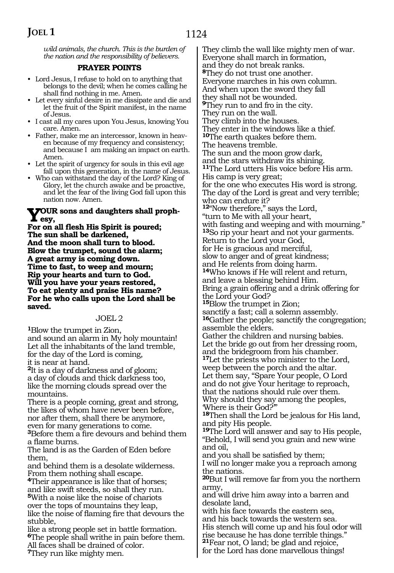*wild animals, the church. This is the burden of the nation and the responsibility of believers.*

#### **PRAYER POINTS**

- Lord Jesus, I refuse to hold on to anything that belongs to the devil; when he comes calling he shall find nothing in me. Amen.
- Let every sinful desire in me dissipate and die and let the fruit of the Spirit manifest, in the name of Jesus.
- I cast all my cares upon You Jesus, knowing You care. Amen.
- Father, make me an intercessor, known in heaven because of my frequency and consistency; and because I am making an impact on earth. Amen.
- Let the spirit of urgency for souls in this evil age fall upon this generation, in the name of Jesus.
- Who can withstand the day of the Lord? King of Glory, let the church awake and be proactive, and let the fear of the living God fall upon this nation now. Amen.

#### **Your sons and daughters shall prophesy,**

**For on all flesh His Spirit is poured; The sun shall be darkened, And the moon shall turn to blood. Blow the trumpet, sound the alarm; A great army is coming down. Time to fast, to weep and mourn; Rip your hearts and turn to God. Will you have your years restored, To eat plenty and praise His name? For he who calls upon the Lord shall be saved.**

#### JOEL 2

**<sup>1</sup>**Blow the trumpet in Zion, and sound an alarm in My holy mountain! Let all the inhabitants of the land tremble, for the day of the Lord is coming, it is near at hand.

**<sup>2</sup>**It is a day of darkness and of gloom; a day of clouds and thick darkness too, like the morning clouds spread over the mountains.

There is a people coming, great and strong, the likes of whom have never been before, nor after them, shall there be anymore, even for many generations to come.

**<sup>3</sup>**Before them a fire devours and behind them a flame burns.

The land is as the Garden of Eden before them,

and behind them is a desolate wilderness. From them nothing shall escape.

**<sup>4</sup>**Their appearance is like that of horses; and like swift steeds, so shall they run. **<sup>5</sup>**With a noise like the noise of chariots over the tops of mountains they leap, like the noise of flaming fire that devours the stubble,

like a strong people set in battle formation. **<sup>6</sup>**The people shall writhe in pain before them. All faces shall be drained of color. **<sup>7</sup>**They run like mighty men.

They climb the wall like mighty men of war. Everyone shall march in formation, and they do not break ranks. **<sup>8</sup>**They do not trust one another. Everyone marches in his own column. And when upon the sword they fall they shall not be wounded. **<sup>9</sup>**They run to and fro in the city. They run on the wall. They climb into the houses. They enter in the windows like a thief. **<sup>10</sup>**The earth quakes before them. The heavens tremble. The sun and the moon grow dark, and the stars withdraw its shining. **<sup>11</sup>**The Lord utters His voice before His arm. His camp is very great; for the one who executes His word is strong. The day of the Lord is great and very terrible; who can endure it? **<sup>12</sup>**"Now therefore," says the Lord, "turn to Me with all your heart, with fasting and weeping and with mourning." **<sup>13</sup>**So rip your heart and not your garments. Return to the Lord your God, for He is gracious and merciful, slow to anger and of great kindness; and He relents from doing harm. **<sup>14</sup>**Who knows if He will relent and return, and leave a blessing behind Him. Bring a grain offering and a drink offering for the Lord your God? **<sup>15</sup>**Blow the trumpet in Zion; sanctify a fast; call a solemn assembly. **<sup>16</sup>**Gather the people; sanctify the congregation; assemble the elders. Gather the children and nursing babies. Let the bride go out from her dressing room, and the bridegroom from his chamber. **<sup>17</sup>**Let the priests who minister to the Lord, weep between the porch and the altar. Let them say, "Spare Your people, O Lord and do not give Your heritage to reproach, that the nations should rule over them. Why should they say among the peoples, 'Where is their God?'" **<sup>18</sup>**Then shall the Lord be jealous for His land, and pity His people. **<sup>19</sup>**The Lord will answer and say to His people, "Behold, I will send you grain and new wine and oil, and you shall be satisfied by them; I will no longer make you a reproach among the nations. **<sup>20</sup>**But I will remove far from you the northern army, and will drive him away into a barren and desolate land, with his face towards the eastern sea, and his back towards the western sea. His stench will come up and his foul odor will rise because he has done terrible things."

**<sup>21</sup>**Fear not, O land; be glad and rejoice,

for the Lord has done marvellous things!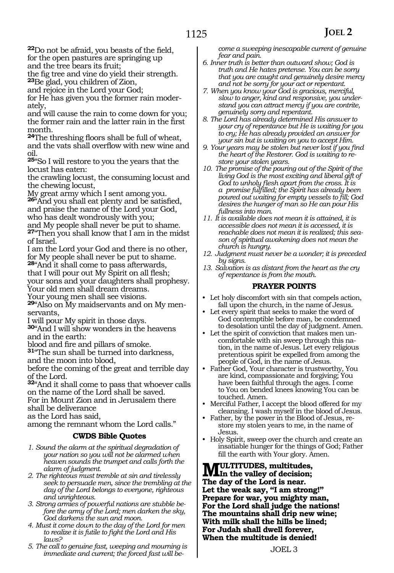**<sup>22</sup>**Do not be afraid, you beasts of the field, for the open pastures are springing up and the tree bears its fruit;

the fig tree and vine do yield their strength. **<sup>23</sup>**Be glad, you children of Zion,

and rejoice in the Lord your God;

for He has given you the former rain moder- ately,

and will cause the rain to come down for you; the former rain and the latter rain in the first month.

**<sup>24</sup>**The threshing floors shall be full of wheat, and the vats shall overflow with new wine and oil.

**<sup>25</sup>**"So I will restore to you the years that the locust has eaten:

the crawling locust, the consuming locust and the chewing locust,

My great army which I sent among you.

**<sup>26</sup>**"And you shall eat plenty and be satisfied, and praise the name of the Lord your God, who has dealt wondrously with you;

and My people shall never be put to shame. **<sup>27</sup>**"Then you shall know that I am in the midst

of Israel.

I am the Lord your God and there is no other, for My people shall never be put to shame.

**<sup>28</sup>**"And it shall come to pass afterwards, that I will pour out My Spirit on all flesh; your sons and your daughters shall prophesy. Your old men shall dream dreams.

Your young men shall see visions.

**<sup>29</sup>**"Also on My maidservants and on My men- servants,

I will pour My spirit in those days.

**<sup>30</sup>**"And I will show wonders in the heavens and in the earth:

blood and fire and pillars of smoke.

**<sup>31</sup>**"The sun shall be turned into darkness, and the moon into blood,

before the coming of the great and terrible day of the Lord.

**<sup>32</sup>**"And it shall come to pass that whoever calls on the name of the Lord shall be saved. For in Mount Zion and in Jerusalem there

shall be deliverance

as the Lord has said,

among the remnant whom the Lord calls."

#### **CWDS Bible Quotes**

- *1. Sound the alarm at the spiritual degradation of your nation so you will not be alarmed when heaven sounds the trumpet and calls forth the alarm of judgment.*
- *2. The righteous must tremble at sin and tirelessly seek to persuade men, since the trembling at the day of the Lord belongs to everyone, righteous and unrighteous.*
- *3. Strong armies of powerful nations are stubble before the army of the Lord; men darken the sky, God darkens the sun and moon.*
- *4. Must it come down to the day of the Lord for men to realize it is futile to fight the Lord and His laws?*
- *5. The call to genuine fast, weeping and mourning is immediate and current; the forced fast will be-*

*come a sweeping inescapable current of genuine fear and pain.*

- *6. Inner truth is better than outward show; God is truth and He hates pretense. You can be sorry that you are caught and genuinely desire mercy and not be sorry for your act or repentant.*
- *7. When you know your God is gracious, merciful, slow to anger, kind and responsive, you understand you can attract mercy if you are contrite, genuinely sorry and repentant.*
- *8. The Lord has already determined His answer to your cry of repentance but He is waiting for you to cry; He has already provided an answer for your sin but is waiting on you to accept Him.*
- *9. Your years may be stolen but never lost if you find the heart of the Restorer. God is waiting to restore your stolen years.*
- *10. The promise of the pouring out of the Spirit of the living God is the most exciting and liberal gift of God to unholy flesh apart from the cross. It is a promise fulfilled; the Spirit has already been poured out waiting for empty vessels to fill; God desires the hunger of man so He can pour His fullness into man.*
- *11. It is available does not mean it is attained, it is accessible does not mean it is accessed, it is reachable does not mean it is realized; this season of spiritual awakening does not mean the church is hungry.*
- *12. Judgment must never be a wonder; it is preceded by signs.*
- *13. Salvation is as distant from the heart as the cry of repentance is from the mouth.*

# **PRAYER POINTS**

- Let holy discomfort with sin that compels action, fall upon the church, in the name of Jesus.
- Let every spirit that seeks to make the word of God contemptible before man, be condemned to desolation until the day of judgment. Amen.
- Let the spirit of conviction that makes men uncomfortable with sin sweep through this nation, in the name of Jesus. Let every religious pretentious spirit be expelled from among the people of God, in the name of Jesus.
- Father God, Your character is trustworthy, You are kind, compassionate and forgiving; You have been faithful through the ages. I come to You on bended knees knowing You can be touched. Amen.
- Merciful Father, I accept the blood offered for my cleansing. I wash myself in the blood of Jesus.
- Father, by the power in the Blood of Jesus, restore my stolen years to me, in the name of Jesus.
- Holy Spirit, sweep over the church and create an insatiable hunger for the things of God; Father fill the earth with Your glory. Amen.

**MULTITUDES, multitudes,**<br>The day of the Lard is near. **The day of the Lord is near. Let the weak say, "I am strong!" Prepare for war, you mighty man, For the Lord shall judge the nations! The mountains shall drip new wine; With milk shall the hills be lined; For Judah shall dwell forever, When the multitude is denied!**

JOEL 3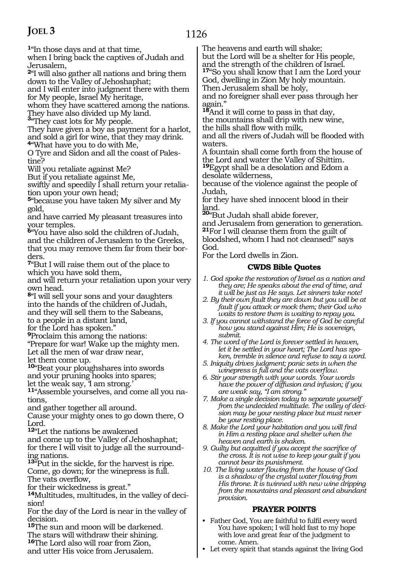# **JOEL 3**

1126

**<sup>1</sup>**"In those days and at that time,

when I bring back the captives of Judah and Jerusalem,

**<sup>2</sup>**"I will also gather all nations and bring them down to the Valley of Jehoshaphat;

and I will enter into judgment there with them for My people, Israel My heritage,

whom they have scattered among the nations. They have also divided up My land. **<sup>3</sup>**"They cast lots for My people.

They have given a boy as payment for a harlot, and sold a girl for wine, that they may drink. **<sup>4</sup>**"What have you to do with Me,

O Tyre and Sidon and all the coast of Palestine?

Will you retaliate against Me?

But if you retaliate against Me,

swiftly and speedily I shall return your retaliation upon your own head;

**<sup>5</sup>**"because you have taken My silver and My gold,

and have carried My pleasant treasures into your temples.

**<sup>6</sup>**"You have also sold the children of Judah, and the children of Jerusalem to the Greeks, that you may remove them far from their borders.

**<sup>7</sup>**"But I will raise them out of the place to which you have sold them,

and will return your retaliation upon your very own head.

**<sup>8</sup>**"I will sell your sons and your daughters into the hands of the children of Judah, and they will sell them to the Sabeans, to a people in a distant land,

for the Lord has spoken."

**<sup>9</sup>**Proclaim this among the nations:

"Prepare for war! Wake up the mighty men. Let all the men of war draw near,

let them come up.

**<sup>10</sup>**"Beat your ploughshares into swords

and your pruning hooks into spares;

let the weak say, I am strong.

**11**"Assemble yourselves, and come all you nations,

and gather together all around.

Cause your mighty ones to go down there, O Lord.

**<sup>12</sup>**"Let the nations be awakened

and come up to the Valley of Jehoshaphat; for there I will visit to judge all the surrounding nations.

**<sup>13</sup>**"Put in the sickle, for the harvest is ripe. Come, go down; for the winepress is full. The vats overflow,

for their wickedness is great."

**<sup>14</sup>**Multitudes, multitudes, in the valley of deci- sion!

For the day of the Lord is near in the valley of decision.

**<sup>15</sup>**The sun and moon will be darkened. The stars will withdraw their shining.

**<sup>16</sup>**The Lord also will roar from Zion,

and utter His voice from Jerusalem.

The heavens and earth will shake;

but the Lord will be a shelter for His people, and the strength of the children of Israel. **<sup>17</sup>**"So you shall know that I am the Lord your

God, dwelling in Zion My holy mountain. Then Jerusalem shall be holy,

and no foreigner shall ever pass through her again."

**<sup>18</sup>**And it will come to pass in that day, the mountains shall drip with new wine, the hills shall flow with milk,

and all the rivers of Judah will be flooded with waters.

A fountain shall come forth from the house of the Lord and water the Valley of Shittim.

**<sup>19</sup>**Egypt shall be a desolation and Edom a desolate wilderness,

because of the violence against the people of Judah,

for they have shed innocent blood in their

land. **<sup>20</sup>**"But Judah shall abide forever,

and Jerusalem from generation to generation. **<sup>21</sup>**For I will cleanse them from the guilt of bloodshed, whom I had not cleansed!" says God.

For the Lord dwells in Zion.

# **CWDS Bible Quotes**

- *1. God spoke the restoration of Israel as a nation and they are; He speaks about the end of time, and it will be just as He says. Let sinners take note!*
- *2. By their own fault they are down but you will be at fault if you attack or mock them; their God who waits to restore them is waiting to repay you.*
- *3. If you cannot withstand the force of God be careful how you stand against Him; He is sovereign, submit.*
- *4. The word of the Lord is forever settled in heaven, let it be settled in your heart; The Lord has spoken, tremble in silence and refuse to say a word.*
- *5. Iniquity drives judgment; panic sets in when the winepress is full and the vats overflow.*
- *6. Stir your strength with your words. Your words have the power of diffusion and infusion; if you are weak say, "I am strong."*
- *7. Make a single decision today to separate yourself from the undecided multitude. The valley of decision may be your nesting place but must never be your resting place.*
- *8. Make the Lord your habitation and you will find in Him a resting place and shelter when the heaven and earth is shaken.*
- *9. Guilty but acquitted if you accept the sacrifice of the cross. It is not wise to keep your guilt if you cannot bear its punishment.*
- *10. The living water flowing from the house of God is a shadow of the crystal water flowing from His throne. It is twinned with new wine dripping from the mountains and pleasant and abundant provision.*

# **PRAYER POINTS**

- Father God, You are faithful to fulfil every word You have spoken; I will hold fast to my hope with love and great fear of the judgment to come. Amen.
- Let every spirit that stands against the living God